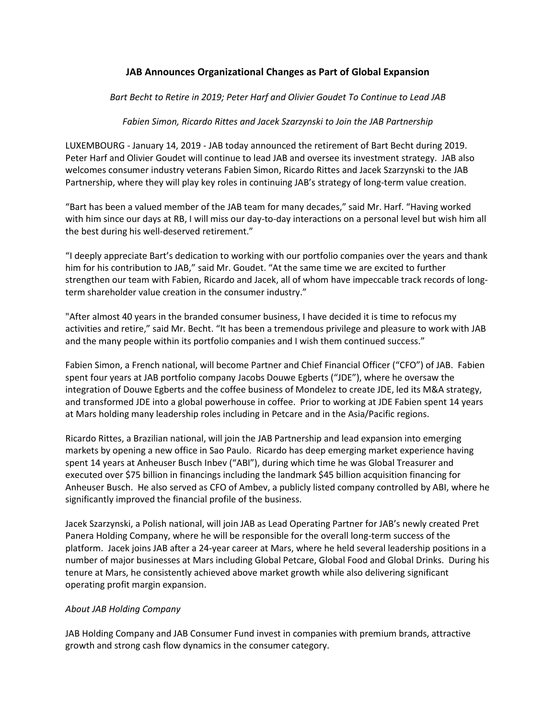## **JAB Announces Organizational Changes as Part of Global Expansion**

*Bart Becht to Retire in 2019; Peter Harf and Olivier Goudet To Continue to Lead JAB*

## *Fabien Simon, Ricardo Rittes and Jacek Szarzynski to Join the JAB Partnership*

LUXEMBOURG - January 14, 2019 - JAB today announced the retirement of Bart Becht during 2019. Peter Harf and Olivier Goudet will continue to lead JAB and oversee its investment strategy. JAB also welcomes consumer industry veterans Fabien Simon, Ricardo Rittes and Jacek Szarzynski to the JAB Partnership, where they will play key roles in continuing JAB's strategy of long-term value creation.

"Bart has been a valued member of the JAB team for many decades," said Mr. Harf. "Having worked with him since our days at RB, I will miss our day-to-day interactions on a personal level but wish him all the best during his well-deserved retirement."

"I deeply appreciate Bart's dedication to working with our portfolio companies over the years and thank him for his contribution to JAB," said Mr. Goudet. "At the same time we are excited to further strengthen our team with Fabien, Ricardo and Jacek, all of whom have impeccable track records of longterm shareholder value creation in the consumer industry."

"After almost 40 years in the branded consumer business, I have decided it is time to refocus my activities and retire," said Mr. Becht. "It has been a tremendous privilege and pleasure to work with JAB and the many people within its portfolio companies and I wish them continued success."

Fabien Simon, a French national, will become Partner and Chief Financial Officer ("CFO") of JAB. Fabien spent four years at JAB portfolio company Jacobs Douwe Egberts ("JDE"), where he oversaw the integration of Douwe Egberts and the coffee business of Mondelez to create JDE, led its M&A strategy, and transformed JDE into a global powerhouse in coffee. Prior to working at JDE Fabien spent 14 years at Mars holding many leadership roles including in Petcare and in the Asia/Pacific regions.

Ricardo Rittes, a Brazilian national, will join the JAB Partnership and lead expansion into emerging markets by opening a new office in Sao Paulo. Ricardo has deep emerging market experience having spent 14 years at Anheuser Busch Inbev ("ABI"), during which time he was Global Treasurer and executed over \$75 billion in financings including the landmark \$45 billion acquisition financing for Anheuser Busch. He also served as CFO of Ambev, a publicly listed company controlled by ABI, where he significantly improved the financial profile of the business.

Jacek Szarzynski, a Polish national, will join JAB as Lead Operating Partner for JAB's newly created Pret Panera Holding Company, where he will be responsible for the overall long-term success of the platform. Jacek joins JAB after a 24-year career at Mars, where he held several leadership positions in a number of major businesses at Mars including Global Petcare, Global Food and Global Drinks. During his tenure at Mars, he consistently achieved above market growth while also delivering significant operating profit margin expansion.

## *About JAB Holding Company*

JAB Holding Company and JAB Consumer Fund invest in companies with premium brands, attractive growth and strong cash flow dynamics in the consumer category.